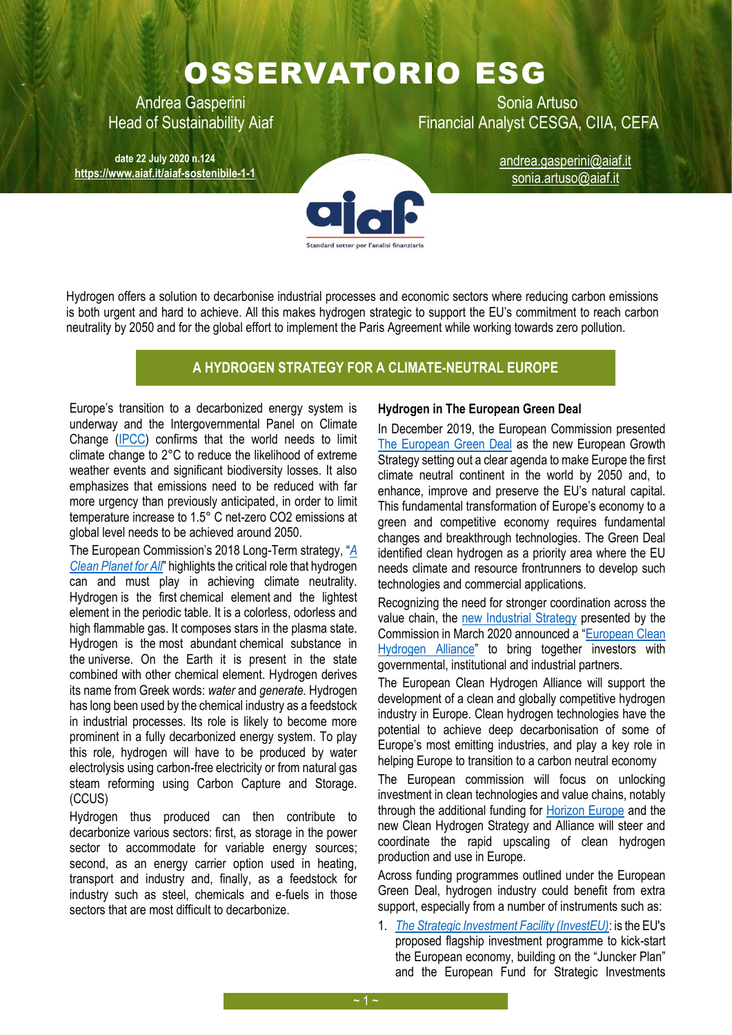# OSSERVATORIO ESG

Andrea Gasperini New York Sonia Artuso Head of Sustainability Aiaf Financial Analyst CESGA, CIIA, CEFA

**date 22 July 2020 n.124 <https://www.aiaf.it/aiaf-sostenibile-1-1>**

[andrea.gasperini@aiaf.it](mailto:andrea.gasperini@aiaf.it) sonia.artuso@aiaf.it



Hydrogen offers a solution to decarbonise industrial processes and economic sectors where reducing carbon emissions is both urgent and hard to achieve. All this makes hydrogen strategic to support the EU's commitment to reach carbon neutrality by 2050 and for the global effort to implement the Paris Agreement while working towards zero pollution.

# **A HYDROGEN STRATEGY FOR A CLIMATE-NEUTRAL EUROPE**

Europe's transition to a decarbonized energy system is underway and the Intergovernmental Panel on Climate Change [\(IPCC\)](https://www.ipcc.ch/) confirms that the world needs to limit climate change to 2°C to reduce the likelihood of extreme weather events and significant biodiversity losses. It also emphasizes that emissions need to be reduced with far more urgency than previously anticipated, in order to limit temperature increase to 1.5° C net-zero CO2 emissions at global level needs to be achieved around 2050.

The European Commission's 2018 Long-Term strategy, "*[A](https://eur-lex.europa.eu/legal-content/EN/TXT/PDF/?uri=CELEX:52018DC0773&from=EN)  [Clean Planet for All](https://eur-lex.europa.eu/legal-content/EN/TXT/PDF/?uri=CELEX:52018DC0773&from=EN)*" highlights the critical role that hydrogen can and must play in achieving climate neutrality. Hydrogen is the first [chemical element](https://en.wikipedia.org/wiki/Chemical_element) and the lightest element in the [periodic table.](https://en.wikipedia.org/wiki/Periodic_table) It is a colorless, odorless and high flammable gas. It composes stars in the plasma state. Hydrogen is the [most abundant](https://en.wikipedia.org/wiki/Abundance_of_the_chemical_elements) chemical substance in the [universe.](https://en.wikipedia.org/wiki/Universe) On the Earth it is present in the state combined with other chemical element. Hydrogen derives its name from Greek words: *water* and *generate.* Hydrogen has long been used by the chemical industry as a feedstock in industrial processes. Its role is likely to become more prominent in a fully decarbonized energy system. To play this role, hydrogen will have to be produced by water electrolysis using carbon-free electricity or from natural gas steam reforming using Carbon Capture and Storage. (CCUS)

Hydrogen thus produced can then contribute to decarbonize various sectors: first, as storage in the power sector to accommodate for variable energy sources; second, as an energy carrier option used in heating, transport and industry and, finally, as a feedstock for industry such as steel, chemicals and e-fuels in those sectors that are most difficult to decarbonize.

# **Hydrogen in The European Green Deal**

In December 2019, the European Commission presented [The European Green Deal](https://eur-lex.europa.eu/resource.html?uri=cellar:b828d165-1c22-11ea-8c1f-01aa75ed71a1.0002.02/DOC_1&format=PDF) as the new European Growth Strategy setting out a clear agenda to make Europe the first climate neutral continent in the world by 2050 and, to enhance, improve and preserve the EU's natural capital. This fundamental transformation of Europe's economy to a green and competitive economy requires fundamental changes and breakthrough technologies. The Green Deal identified clean hydrogen as a priority area where the EU needs climate and resource frontrunners to develop such technologies and commercial applications.

Recognizing the need for stronger coordination across the value chain, the [new Industrial Strategy](https://ec.europa.eu/info/strategy/priorities-2019-2024/europe-fit-digital-age/european-industrial-strategy_en) presented by the Commission in March 2020 announced a "[European Clean](https://ec.europa.eu/growth/industry/policy/european-clean-hydrogen-alliance_en#:~:text=The%20European%20Clean%20Hydrogen%20Alliance%20brings%20together%20industry%2C,transmission%20to%20mobility%2C%20industry%2C%20energy%2C%20and%20heating%20applications.)  [Hydrogen Alliance](https://ec.europa.eu/growth/industry/policy/european-clean-hydrogen-alliance_en#:~:text=The%20European%20Clean%20Hydrogen%20Alliance%20brings%20together%20industry%2C,transmission%20to%20mobility%2C%20industry%2C%20energy%2C%20and%20heating%20applications.)" to bring together investors with governmental, institutional and industrial partners.

The European Clean Hydrogen Alliance will support the development of a clean and globally competitive hydrogen industry in Europe. Clean hydrogen technologies have the potential to achieve deep decarbonisation of some of Europe's most emitting industries, and play a key role in helping Europe to transition to a carbon neutral economy

The European commission will focus on unlocking investment in clean technologies and value chains, notably through the additional funding for [Horizon Europe](https://ec.europa.eu/info/horizon-europe-next-research-and-innovation-framework-programme_en) and the new Clean Hydrogen Strategy and Alliance will steer and coordinate the rapid upscaling of clean hydrogen production and use in Europe.

Across funding programmes outlined under the European Green Deal, hydrogen industry could benefit from extra support, especially from a number of instruments such as:

1. *[The Strategic Investment Facility \(InvestEU\)](https://ec.europa.eu/commission/priorities/jobs-growth-and-investment/investment-plan-europe-juncker-plan/whats-next-investeu-programme-2021-2027_en)*: is the EU's proposed flagship investment programme to kick-start the European economy, building on the "Juncker Plan" and the European Fund for Strategic Investments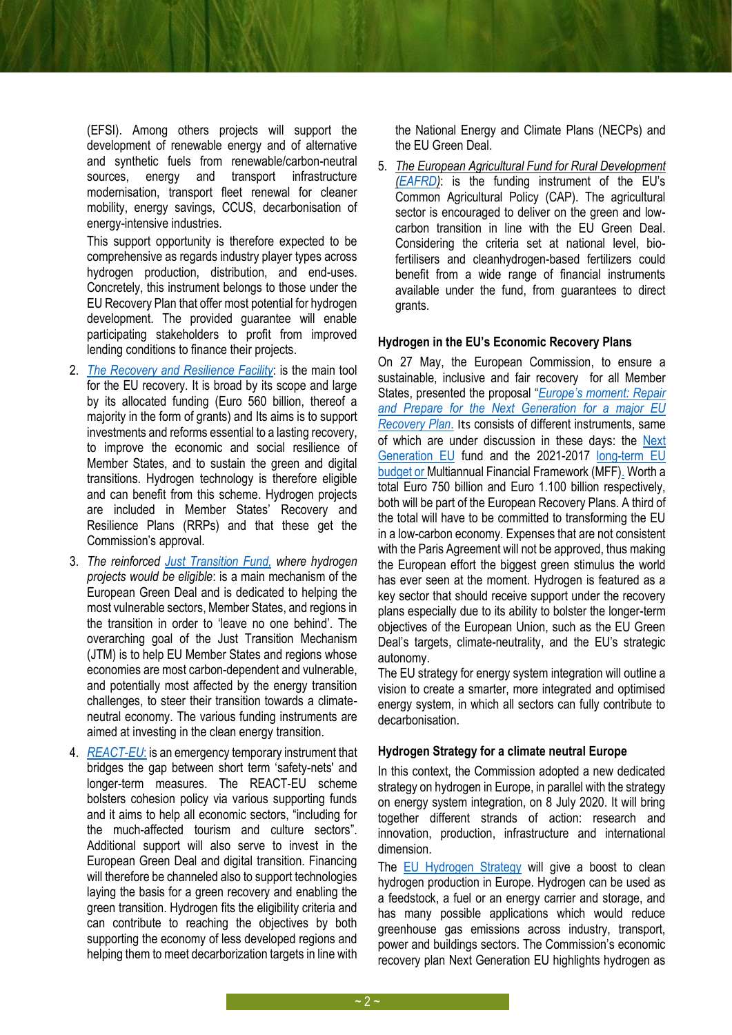(EFSI). Among others projects will support the development of renewable energy and of alternative and synthetic fuels from renewable/carbon-neutral sources, energy and transport infrastructure modernisation, transport fleet renewal for cleaner mobility, energy savings, CCUS, decarbonisation of energy-intensive industries.

This support opportunity is therefore expected to be comprehensive as regards industry player types across hydrogen production, distribution, and end-uses. Concretely, this instrument belongs to those under the EU Recovery Plan that offer most potential for hydrogen development. The provided guarantee will enable participating stakeholders to profit from improved lending conditions to finance their projects.

- 2. *[The Recovery and Resilience Facility](https://ec.europa.eu/info/sites/info/files/com_2020_408_en_act_part1_v9.pdf#:~:text=In%20line%20with%20Article%20175%20%28third%20paragraph%29%20TFEU%2C,the%20COVID-%2019%20crisis%2C%20and%20become%20%28more%29%20resilient.)*: is the main tool for the EU recovery. It is broad by its scope and large by its allocated funding (Euro 560 billion, thereof a majority in the form of grants) and Its aims is to support investments and reforms essential to a lasting recovery, to improve the economic and social resilience of Member States, and to sustain the green and digital transitions. Hydrogen technology is therefore eligible and can benefit from this scheme. Hydrogen projects are included in Member States' Recovery and Resilience Plans (RRPs) and that these get the Commission's approval.
- 3. *The reinforced [Just Transition Fund,](https://ec.europa.eu/commission/presscorner/api/files/attachment/860470/Proposal%20for%20a%20regulation%20establishing%20the%20Just%20Transition%20Fund%20and%20annexes_EN.pdf.pdf) where hydrogen projects would be eligible*: is a main mechanism of the European Green Deal and is dedicated to helping the most vulnerable sectors, Member States, and regions in the transition in order to 'leave no one behind'. The overarching goal of the Just Transition Mechanism (JTM) is to help EU Member States and regions whose economies are most carbon-dependent and vulnerable, and potentially most affected by the energy transition challenges, to steer their transition towards a climateneutral economy. The various funding instruments are aimed at investing in the clean energy transition.
- 4. *[REACT-EU](https://ec.europa.eu/regional_policy/sources/docgener/factsheet/2020_mff_reacteu_en.pdf)*: is an emergency temporary instrument that bridges the gap between short term 'safety-nets' and longer-term measures. The REACT-EU scheme bolsters cohesion policy via various supporting funds and it aims to help all economic sectors, "including for the much-affected tourism and culture sectors". Additional support will also serve to invest in the European Green Deal and digital transition. Financing will therefore be channeled also to support technologies laying the basis for a green recovery and enabling the green transition. Hydrogen fits the eligibility criteria and can contribute to reaching the objectives by both supporting the economy of less developed regions and helping them to meet decarborization targets in line with

the National Energy and Climate Plans (NECPs) and the EU Green Deal.

5. *The European Agricultural Fund for Rural Development [\(EAFRD\)](https://ec.europa.eu/info/food-farming-fisheries/key-policies/common-agricultural-policy/financing-cap/cap-funds_en#eafrd)*: is the funding instrument of the EU's Common Agricultural Policy (CAP). The agricultural sector is encouraged to deliver on the green and lowcarbon transition in line with the EU Green Deal. Considering the criteria set at national level, biofertilisers and cleanhydrogen-based fertilizers could benefit from a wide range of financial instruments available under the fund, from guarantees to direct grants.

### **Hydrogen in the EU's Economic Recovery Plans**

On 27 May, the European Commission, to ensure a sustainable, inclusive and fair recovery for all Member States, presented the proposal "*[Europe's moment: Repair](https://ec.europa.eu/malta/news/europes-moment-repair-and-prepare-next-generation_en)  [and Prepare for the Next Generation](https://ec.europa.eu/malta/news/europes-moment-repair-and-prepare-next-generation_en) for a major EU [Recovery Plan](https://ec.europa.eu/malta/news/europes-moment-repair-and-prepare-next-generation_en)*. Its consists of different instruments, same of which are under discussion in these days: the [Next](https://ec.europa.eu/info/live-work-travel-eu/health/coronavirus-response/recovery-plan-europe/pillars-next-generation-eu_en)  [Generation EU](https://ec.europa.eu/info/live-work-travel-eu/health/coronavirus-response/recovery-plan-europe/pillars-next-generation-eu_en) fund and the 2021-2017 [long-term EU](https://ec.europa.eu/info/strategy/eu-budget/eu-long-term-budget/2021-2027_en)  budget [or Multiannual Financial Framework \(MFF\).](https://ec.europa.eu/info/strategy/eu-budget/eu-long-term-budget/2021-2027_en) Worth a total Euro 750 billion and Euro 1.100 billion respectively, both will be part of the European Recovery Plans. A third of the total will have to be committed to transforming the EU in a low-carbon economy. Expenses that are not consistent with the Paris Agreement will not be approved, thus making the European effort the biggest green stimulus the world has ever seen at the moment. Hydrogen is featured as a key sector that should receive support under the recovery plans especially due to its ability to bolster the longer-term objectives of the European Union, such as the EU Green Deal's targets, climate-neutrality, and the EU's strategic autonomy.

The EU strategy for energy system integration will outline a vision to create a smarter, more integrated and optimised energy system, in which all sectors can fully contribute to decarbonisation.

#### **Hydrogen Strategy for a climate neutral Europe**

In this context, the Commission adopted a new dedicated strategy on hydrogen in Europe, in parallel with the strategy on energy system integration, on 8 July 2020. It will bring together different strands of action: research and innovation, production, infrastructure and international dimension.

The [EU Hydrogen Strategy](https://ec.europa.eu/energy/sites/ener/files/hydrogen_strategy.pdf) will give a boost to clean hydrogen production in Europe. Hydrogen can be used as a feedstock, a fuel or an energy carrier and storage, and has many possible applications which would reduce greenhouse gas emissions across industry, transport, power and buildings sectors. The Commission's economic recovery plan Next Generation EU highlights hydrogen as